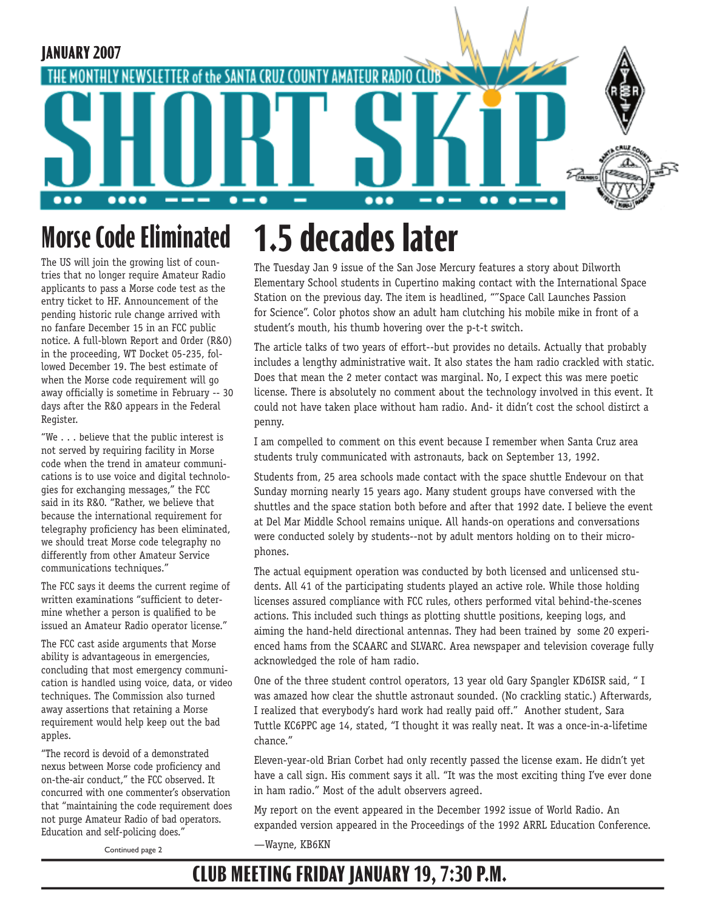

### **1.5 decades later Morse Code Eliminated**

The US will join the growing list of countries that no longer require Amateur Radio applicants to pass a Morse code test as the entry ticket to HF. Announcement of the pending historic rule change arrived with no fanfare December 15 in an FCC public notice. A full-blown Report and Order (R&O) in the proceeding, WT Docket 05-235, followed December 19. The best estimate of when the Morse code requirement will go away officially is sometime in February -- 30 days after the R&O appears in the Federal Register.

"We . . . believe that the public interest is not served by requiring facility in Morse code when the trend in amateur communications is to use voice and digital technologies for exchanging messages," the FCC said in its R&O. "Rather, we believe that because the international requirement for telegraphy proficiency has been eliminated, we should treat Morse code telegraphy no differently from other Amateur Service communications techniques."

The FCC says it deems the current regime of written examinations "sufficient to determine whether a person is qualified to be issued an Amateur Radio operator license."

The FCC cast aside arguments that Morse ability is advantageous in emergencies, concluding that most emergency communication is handled using voice, data, or video techniques. The Commission also turned away assertions that retaining a Morse requirement would help keep out the bad apples.

"The record is devoid of a demonstrated nexus between Morse code proficiency and on-the-air conduct," the FCC observed. It concurred with one commenter's observation that "maintaining the code requirement does not purge Amateur Radio of bad operators. Education and self-policing does."

The Tuesday Jan 9 issue of the San Jose Mercury features a story about Dilworth Elementary School students in Cupertino making contact with the International Space Station on the previous day. The item is headlined, ""Space Call Launches Passion for Science". Color photos show an adult ham clutching his mobile mike in front of a student's mouth, his thumb hovering over the p-t-t switch.

The article talks of two years of effort--but provides no details. Actually that probably includes a lengthy administrative wait. It also states the ham radio crackled with static. Does that mean the 2 meter contact was marginal. No, I expect this was mere poetic license. There is absolutely no comment about the technology involved in this event. It could not have taken place without ham radio. And- it didn't cost the school distirct a penny.

I am compelled to comment on this event because I remember when Santa Cruz area students truly communicated with astronauts, back on September 13, 1992.

Students from, 25 area schools made contact with the space shuttle Endevour on that Sunday morning nearly 15 years ago. Many student groups have conversed with the shuttles and the space station both before and after that 1992 date. I believe the event at Del Mar Middle School remains unique. All hands-on operations and conversations were conducted solely by students--not by adult mentors holding on to their microphones.

The actual equipment operation was conducted by both licensed and unlicensed students. All 41 of the participating students played an active role. While those holding licenses assured compliance with FCC rules, others performed vital behind-the-scenes actions. This included such things as plotting shuttle positions, keeping logs, and aiming the hand-held directional antennas. They had been trained by some 20 experienced hams from the SCAARC and SLVARC. Area newspaper and television coverage fully acknowledged the role of ham radio.

One of the three student control operators, 13 year old Gary Spangler KD6ISR said, " I was amazed how clear the shuttle astronaut sounded. (No crackling static.) Afterwards, I realized that everybody's hard work had really paid off." Another student, Sara Tuttle KC6PPC age 14, stated, "I thought it was really neat. It was a once-in-a-lifetime chance."

Eleven-year-old Brian Corbet had only recently passed the license exam. He didn't yet have a call sign. His comment says it all. "It was the most exciting thing I've ever done in ham radio." Most of the adult observers agreed.

My report on the event appeared in the December 1992 issue of World Radio. An expanded version appeared in the Proceedings of the 1992 ARRL Education Conference. —Wayne, KB6KN

Continued page 2

## **CLUB MEETING FRIDAY JANUARY 19, 7:30 P.M.**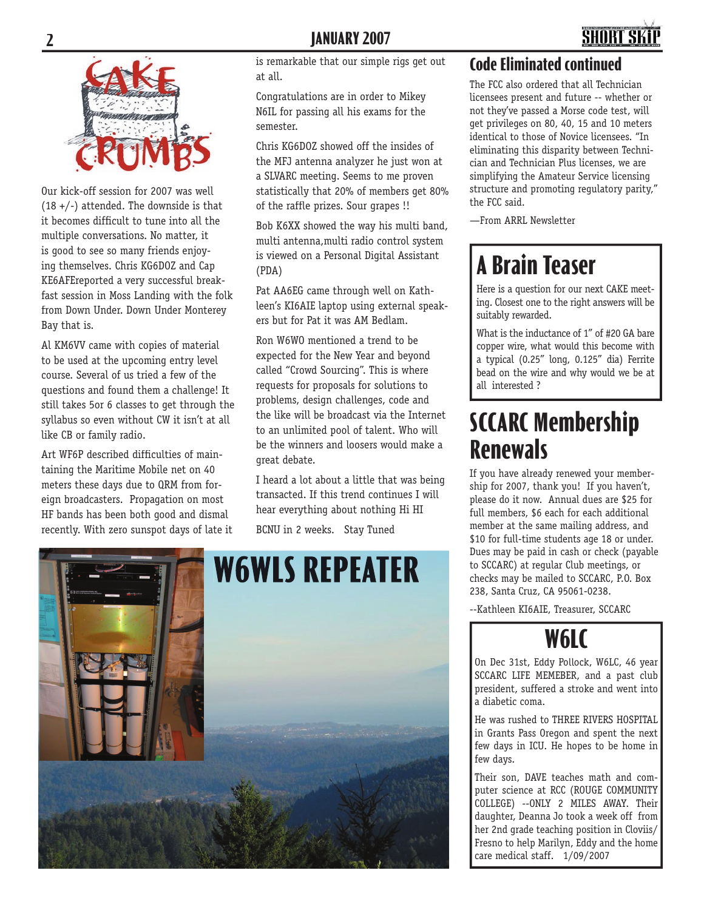



Our kick-off session for 2007 was well  $(18 +/-)$  attended. The downside is that it becomes difficult to tune into all the multiple conversations. No matter, it is good to see so many friends enjoying themselves. Chris KG6DOZ and Cap KE6AFEreported a very successful breakfast session in Moss Landing with the folk from Down Under. Down Under Monterey Bay that is.

Al KM6VV came with copies of material to be used at the upcoming entry level course. Several of us tried a few of the questions and found them a challenge! It still takes 5or 6 classes to get through the syllabus so even without CW it isn't at all like CB or family radio.

Art WF6P described difficulties of maintaining the Maritime Mobile net on 40 meters these days due to QRM from foreign broadcasters. Propagation on most HF bands has been both good and dismal recently. With zero sunspot days of late it is remarkable that our simple rigs get out at all.

Congratulations are in order to Mikey N6IL for passing all his exams for the semester.

Chris KG6DOZ showed off the insides of the MFJ antenna analyzer he just won at a SLVARC meeting. Seems to me proven statistically that 20% of members get 80% of the raffle prizes. Sour grapes !!

Bob K6XX showed the way his multi band, multi antenna,multi radio control system is viewed on a Personal Digital Assistant (PDA)

Pat AA6EG came through well on Kathleen's KI6AIE laptop using external speakers but for Pat it was AM Bedlam.

Ron W6WO mentioned a trend to be expected for the New Year and beyond called "Crowd Sourcing". This is where requests for proposals for solutions to problems, design challenges, code and the like will be broadcast via the Internet to an unlimited pool of talent. Who will be the winners and loosers would make a great debate.

I heard a lot about a little that was being transacted. If this trend continues I will hear everything about nothing Hi HI

BCNU in 2 weeks. Stay Tuned



#### **Code Eliminated continued**

The FCC also ordered that all Technician licensees present and future -- whether or not they've passed a Morse code test, will get privileges on 80, 40, 15 and 10 meters identical to those of Novice licensees. "In eliminating this disparity between Technician and Technician Plus licenses, we are simplifying the Amateur Service licensing structure and promoting regulatory parity," the FCC said.

—From ARRL Newsletter

# **A Brain Teaser**

Here is a question for our next CAKE meeting. Closest one to the right answers will be suitably rewarded.

What is the inductance of 1" of #20 GA bare copper wire, what would this become with a typical (0.25" long, 0.125" dia) Ferrite bead on the wire and why would we be at all interested ?

## **SCCARC Membership Renewals**

If you have already renewed your membership for 2007, thank you! If you haven't, please do it now. Annual dues are \$25 for full members, \$6 each for each additional member at the same mailing address, and \$10 for full-time students age 18 or under. Dues may be paid in cash or check (payable to SCCARC) at regular Club meetings, or checks may be mailed to SCCARC, P.O. Box 238, Santa Cruz, CA 95061-0238.

--Kathleen KI6AIE, Treasurer, SCCARC

## **W6LC**

On Dec 31st, Eddy Pollock, W6LC, 46 year SCCARC LIFE MEMEBER, and a past club president, suffered a stroke and went into a diabetic coma.

He was rushed to THREE RIVERS HOSPITAL in Grants Pass Oregon and spent the next few days in ICU. He hopes to be home in few days.

Their son, DAVE teaches math and computer science at RCC (ROUGE COMMUNITY COLLEGE) --ONLY 2 MILES AWAY. Their daughter, Deanna Jo took a week off from her 2nd grade teaching position in Cloviis/ Fresno to help Marilyn, Eddy and the home care medical staff. 1/09/2007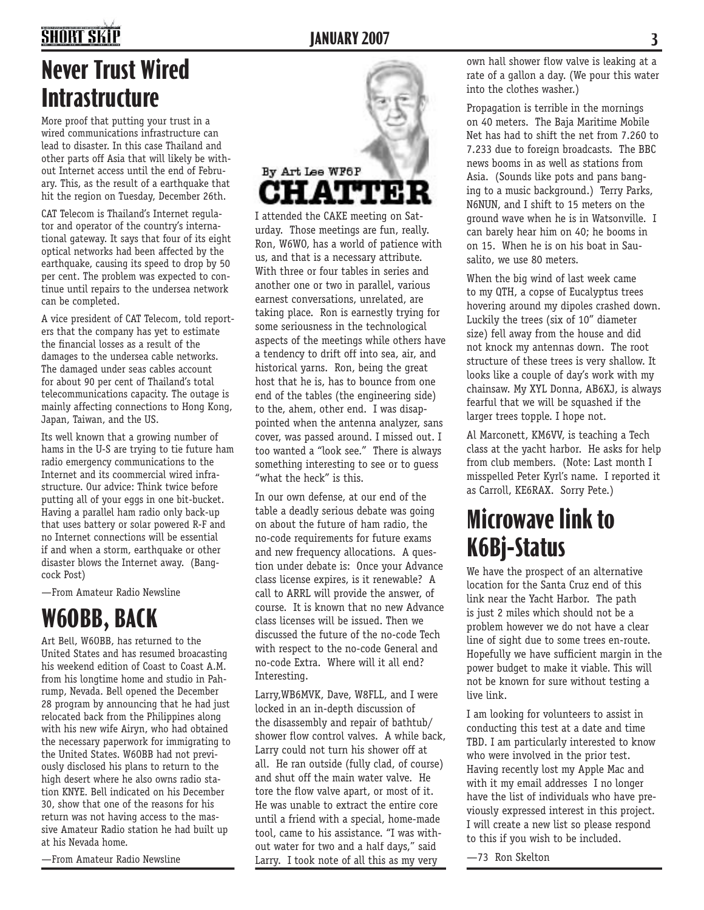## **SHORT SKIP**

# **Never Trust Wired Intrastructure**

More proof that putting your trust in a wired communications infrastructure can lead to disaster. In this case Thailand and other parts off Asia that will likely be without Internet access until the end of February. This, as the result of a earthquake that hit the region on Tuesday, December 26th.

CAT Telecom is Thailand's Internet regulator and operator of the country's international gateway. It says that four of its eight optical networks had been affected by the earthquake, causing its speed to drop by 50 per cent. The problem was expected to continue until repairs to the undersea network can be completed.

A vice president of CAT Telecom, told reporters that the company has yet to estimate the financial losses as a result of the damages to the undersea cable networks. The damaged under seas cables account for about 90 per cent of Thailand's total telecommunications capacity. The outage is mainly affecting connections to Hong Kong, Japan, Taiwan, and the US.

Its well known that a growing number of hams in the U-S are trying to tie future ham radio emergency communications to the Internet and its coommercial wired infrastructure. Our advice: Think twice before putting all of your eggs in one bit-bucket. Having a parallel ham radio only back-up that uses battery or solar powered R-F and no Internet connections will be essential if and when a storm, earthquake or other disaster blows the Internet away. (Bangcock Post)

—From Amateur Radio Newsline

# **W6OBB, BACK**

Art Bell, W6OBB, has returned to the United States and has resumed broacasting his weekend edition of Coast to Coast A.M. from his longtime home and studio in Pahrump, Nevada. Bell opened the December 28 program by announcing that he had just relocated back from the Philippines along with his new wife Airyn, who had obtained the necessary paperwork for immigrating to the United States. W6OBB had not previously disclosed his plans to return to the high desert where he also owns radio station KNYE. Bell indicated on his December 30, show that one of the reasons for his return was not having access to the massive Amateur Radio station he had built up at his Nevada home.

—From Amateur Radio Newsline



I attended the CAKE meeting on Saturday. Those meetings are fun, really. Ron, W6WO, has a world of patience with us, and that is a necessary attribute. With three or four tables in series and another one or two in parallel, various earnest conversations, unrelated, are taking place. Ron is earnestly trying for some seriousness in the technological aspects of the meetings while others have a tendency to drift off into sea, air, and historical yarns. Ron, being the great host that he is, has to bounce from one end of the tables (the engineering side) to the, ahem, other end. I was disappointed when the antenna analyzer, sans cover, was passed around. I missed out. I too wanted a "look see." There is always something interesting to see or to guess "what the heck" is this.

In our own defense, at our end of the table a deadly serious debate was going on about the future of ham radio, the no-code requirements for future exams and new frequency allocations. A question under debate is: Once your Advance class license expires, is it renewable? A call to ARRL will provide the answer, of course. It is known that no new Advance class licenses will be issued. Then we discussed the future of the no-code Tech with respect to the no-code General and no-code Extra. Where will it all end? Interesting.

Larry,WB6MVK, Dave, W8FLL, and I were locked in an in-depth discussion of the disassembly and repair of bathtub/ shower flow control valves. A while back, Larry could not turn his shower off at all. He ran outside (fully clad, of course) and shut off the main water valve. He tore the flow valve apart, or most of it. He was unable to extract the entire core until a friend with a special, home-made tool, came to his assistance. "I was without water for two and a half days," said Larry. I took note of all this as my very

own hall shower flow valve is leaking at a rate of a gallon a day. (We pour this water into the clothes washer.)

Propagation is terrible in the mornings on 40 meters. The Baja Maritime Mobile Net has had to shift the net from 7.260 to 7.233 due to foreign broadcasts. The BBC news booms in as well as stations from Asia. (Sounds like pots and pans banging to a music background.) Terry Parks, N6NUN, and I shift to 15 meters on the ground wave when he is in Watsonville. I can barely hear him on 40; he booms in on 15. When he is on his boat in Sausalito, we use 80 meters.

When the big wind of last week came to my QTH, a copse of Eucalyptus trees hovering around my dipoles crashed down. Luckily the trees (six of 10" diameter size) fell away from the house and did not knock my antennas down. The root structure of these trees is very shallow. It looks like a couple of day's work with my chainsaw. My XYL Donna, AB6XJ, is always fearful that we will be squashed if the larger trees topple. I hope not.

Al Marconett, KM6VV, is teaching a Tech class at the yacht harbor. He asks for help from club members. (Note: Last month I misspelled Peter Kyrl's name. I reported it as Carroll, KE6RAX. Sorry Pete.)

## **Microwave link to K6Bj-Status**

We have the prospect of an alternative location for the Santa Cruz end of this link near the Yacht Harbor. The path is just 2 miles which should not be a problem however we do not have a clear line of sight due to some trees en-route. Hopefully we have sufficient margin in the power budget to make it viable. This will not be known for sure without testing a live link.

I am looking for volunteers to assist in conducting this test at a date and time TBD. I am particularly interested to know who were involved in the prior test. Having recently lost my Apple Mac and with it my email addresses I no longer have the list of individuals who have previously expressed interest in this project. I will create a new list so please respond to this if you wish to be included.

—73 Ron Skelton